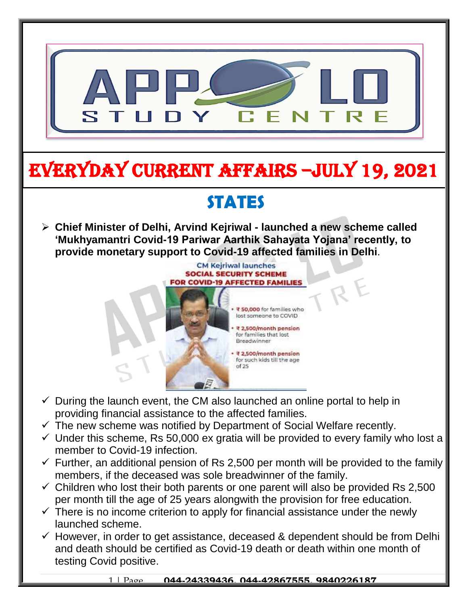

# EVERYDAY CURRENT AFFAIRS –jULY 19, 2021

## **STATES**

-

 **Chief Minister of Delhi, Arvind Kejriwal - launched a new scheme called 'Mukhyamantri Covid-19 Pariwar Aarthik Sahayata Yojana' recently, to provide monetary support to Covid-19 affected families in Delhi**.



- $\checkmark$  During the launch event, the CM also launched an online portal to help in providing financial assistance to the affected families.
- $\checkmark$  The new scheme was notified by Department of Social Welfare recently.
- $\checkmark$  Under this scheme, Rs 50,000 ex gratia will be provided to every family who lost a member to Covid-19 infection.
- $\checkmark$  Further, an additional pension of Rs 2,500 per month will be provided to the family members, if the deceased was sole breadwinner of the family.
- $\checkmark$  Children who lost their both parents or one parent will also be provided Rs 2,500 per month till the age of 25 years alongwith the provision for free education.
- $\checkmark$  There is no income criterion to apply for financial assistance under the newly launched scheme.
- $\checkmark$  However, in order to get assistance, deceased & dependent should be from Delhi and death should be certified as Covid-19 death or death within one month of testing Covid positive.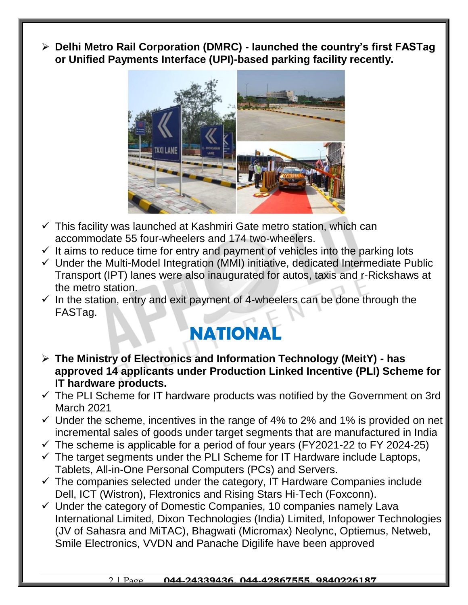**Delhi Metro Rail Corporation (DMRC) - launched the country's first FASTag or Unified Payments Interface (UPI)-based parking facility recently.**



- $\checkmark$  This facility was launched at Kashmiri Gate metro station, which can accommodate 55 four-wheelers and 174 two-wheelers.
- $\checkmark$  It aims to reduce time for entry and payment of vehicles into the parking lots
- $\checkmark$  Under the Multi-Model Integration (MMI) initiative, dedicated Intermediate Public Transport (IPT) lanes were also inaugurated for autos, taxis and r-Rickshaws at the metro station.
- $\checkmark$  In the station, entry and exit payment of 4-wheelers can be done through the FASTag.

### **NATIONAL**

- **The Ministry of Electronics and Information Technology (MeitY) - has approved 14 applicants under Production Linked Incentive (PLI) Scheme for IT hardware products.**
- $\checkmark$  The PLI Scheme for IT hardware products was notified by the Government on 3rd March 2021
- $\checkmark$  Under the scheme, incentives in the range of 4% to 2% and 1% is provided on net incremental sales of goods under target segments that are manufactured in India
- $\checkmark$  The scheme is applicable for a period of four years (FY2021-22 to FY 2024-25)
- $\checkmark$  The target segments under the PLI Scheme for IT Hardware include Laptops, Tablets, All-in-One Personal Computers (PCs) and Servers.
- $\checkmark$  The companies selected under the category, IT Hardware Companies include Dell, ICT (Wistron), Flextronics and Rising Stars Hi-Tech (Foxconn).
- $\checkmark$  Under the category of Domestic Companies, 10 companies namely Lava International Limited, Dixon Technologies (India) Limited, Infopower Technologies (JV of Sahasra and MiTAC), Bhagwati (Micromax) Neolync, Optiemus, Netweb, Smile Electronics, VVDN and Panache Digilife have been approved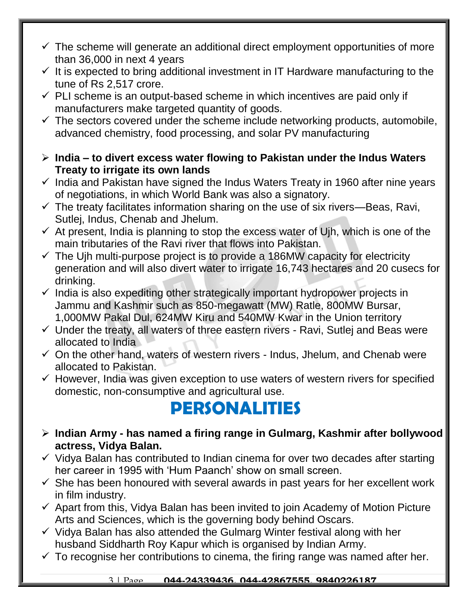- $\checkmark$  The scheme will generate an additional direct employment opportunities of more than 36,000 in next 4 years
- $\checkmark$  It is expected to bring additional investment in IT Hardware manufacturing to the tune of Rs 2,517 crore.
- $\checkmark$  PLI scheme is an output-based scheme in which incentives are paid only if manufacturers make targeted quantity of goods.
- $\checkmark$  The sectors covered under the scheme include networking products, automobile, advanced chemistry, food processing, and solar PV manufacturing
- **India – to divert excess water flowing to Pakistan under the Indus Waters Treaty to irrigate its own lands**
- $\checkmark$  India and Pakistan have signed the Indus Waters Treaty in 1960 after nine years of negotiations, in which World Bank was also a signatory.
- $\checkmark$  The treaty facilitates information sharing on the use of six rivers—Beas, Ravi, Sutlej, Indus, Chenab and Jhelum.
- $\checkmark$  At present, India is planning to stop the excess water of Ujh, which is one of the main tributaries of the Ravi river that flows into Pakistan.
- $\checkmark$  The Ujh multi-purpose project is to provide a 186MW capacity for electricity generation and will also divert water to irrigate 16,743 hectares and 20 cusecs for drinking.
- $\checkmark$  India is also expediting other strategically important hydropower projects in Jammu and Kashmir such as 850-megawatt (MW) Ratle, 800MW Bursar, 1,000MW Pakal Dul, 624MW Kiru and 540MW Kwar in the Union territory
- $\checkmark$  Under the treaty, all waters of three eastern rivers Ravi, Sutlej and Beas were allocated to India
- $\checkmark$  On the other hand, waters of western rivers Indus, Jhelum, and Chenab were allocated to Pakistan.
- $\checkmark$  However, India was given exception to use waters of western rivers for specified domestic, non-consumptive and agricultural use.

### **PERSONALITIES**

- **Indian Army - has named a firing range in Gulmarg, Kashmir after bollywood actress, Vidya Balan.**
- $\checkmark$  Vidva Balan has contributed to Indian cinema for over two decades after starting her career in 1995 with 'Hum Paanch' show on small screen.
- $\checkmark$  She has been honoured with several awards in past years for her excellent work in film industry.
- $\checkmark$  Apart from this, Vidya Balan has been invited to join Academy of Motion Picture Arts and Sciences, which is the governing body behind Oscars.
- $\checkmark$  Vidya Balan has also attended the Gulmarg Winter festival along with her husband Siddharth Roy Kapur which is organised by Indian Army.
- $\checkmark$  To recognise her contributions to cinema, the firing range was named after her.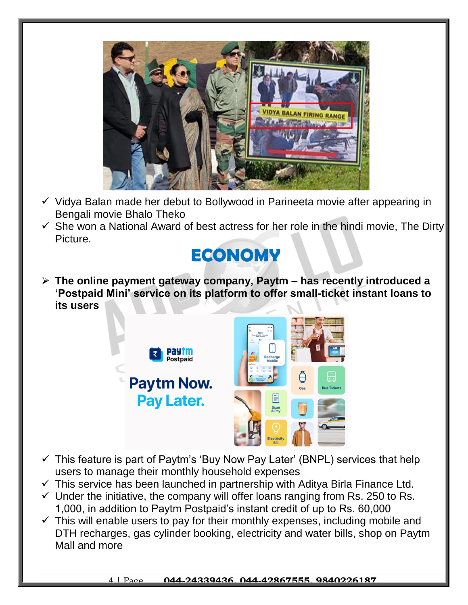

- $\checkmark$  Vidya Balan made her debut to Bollywood in Parineeta movie after appearing in Bengali movie Bhalo Theko
- $\checkmark$  She won a National Award of best actress for her role in the hindi movie, The Dirty Picture.

### **ECONOMY**

 **The online payment gateway company, Paytm – has recently introduced a 'Postpaid Mini' service on its platform to offer small-ticket instant loans to its users**



- $\checkmark$  This feature is part of Paytm's 'Buy Now Pay Later' (BNPL) services that help users to manage their monthly household expenses
- $\checkmark$  This service has been launched in partnership with Aditya Birla Finance Ltd.
- $\checkmark$  Under the initiative, the company will offer loans ranging from Rs. 250 to Rs. 1,000, in addition to Paytm Postpaid's instant credit of up to Rs. 60,000
- $\checkmark$  This will enable users to pay for their monthly expenses, including mobile and DTH recharges, gas cylinder booking, electricity and water bills, shop on Paytm Mall and more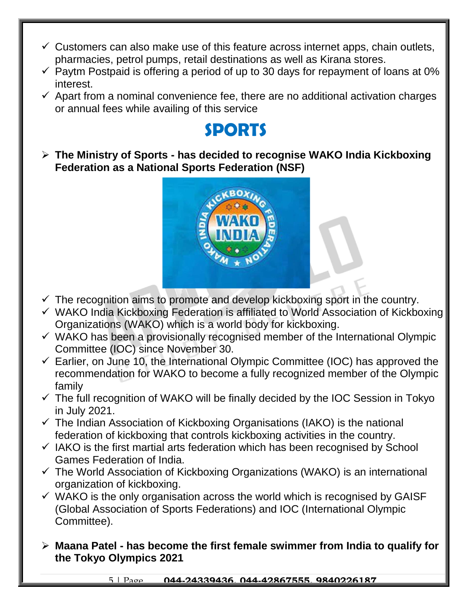- $\checkmark$  Customers can also make use of this feature across internet apps, chain outlets, pharmacies, petrol pumps, retail destinations as well as Kirana stores.
- $\checkmark$  Paytm Postpaid is offering a period of up to 30 days for repayment of loans at 0% interest.
- $\checkmark$  Apart from a nominal convenience fee, there are no additional activation charges or annual fees while availing of this service

#### **SPORTS**

 **The Ministry of Sports - has decided to recognise WAKO India Kickboxing Federation as a National Sports Federation (NSF)** 



- $\checkmark$  The recognition aims to promote and develop kickboxing sport in the country.
- $\checkmark$  WAKO India Kickboxing Federation is affiliated to World Association of Kickboxing Organizations (WAKO) which is a world body for kickboxing.
- $\checkmark$  WAKO has been a provisionally recognised member of the International Olympic Committee (IOC) since November 30.
- $\checkmark$  Earlier, on June 10, the International Olympic Committee (IOC) has approved the recommendation for WAKO to become a fully recognized member of the Olympic family
- $\checkmark$  The full recognition of WAKO will be finally decided by the IOC Session in Tokyo in July 2021.
- $\checkmark$  The Indian Association of Kickboxing Organisations (IAKO) is the national federation of kickboxing that controls kickboxing activities in the country.
- $\checkmark$  IAKO is the first martial arts federation which has been recognised by School Games Federation of India.
- $\checkmark$  The World Association of Kickboxing Organizations (WAKO) is an international organization of kickboxing.
- $\checkmark$  WAKO is the only organisation across the world which is recognised by GAISF (Global Association of Sports Federations) and IOC (International Olympic Committee).
- **Maana Patel - has become the first female swimmer from India to qualify for the Tokyo Olympics 2021**